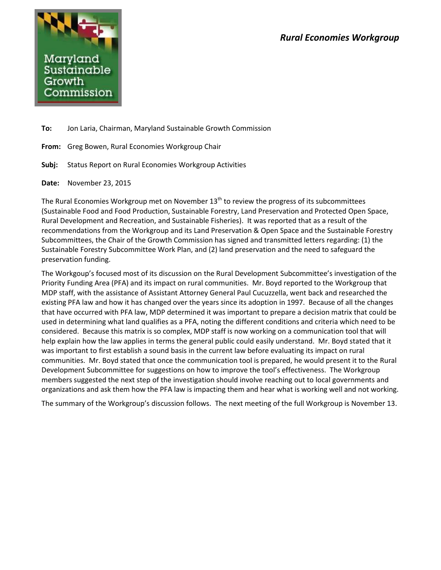

**To:** Jon Laria, Chairman, Maryland Sustainable Growth Commission

**From:** Greg Bowen, Rural Economies Workgroup Chair

**Subj:** Status Report on Rural Economies Workgroup Activities

**Date:** November 23, 2015

The Rural Economies Workgroup met on November  $13<sup>th</sup>$  to review the progress of its subcommittees (Sustainable Food and Food Production, Sustainable Forestry, Land Preservation and Protected Open Space, Rural Development and Recreation, and Sustainable Fisheries). It was reported that as a result of the recommendations from the Workgroup and its Land Preservation & Open Space and the Sustainable Forestry Subcommittees, the Chair of the Growth Commission has signed and transmitted letters regarding: (1) the Sustainable Forestry Subcommittee Work Plan, and (2) land preservation and the need to safeguard the preservation funding.

The Workgoup's focused most of its discussion on the Rural Development Subcommittee's investigation of the Priority Funding Area (PFA) and its impact on rural communities. Mr. Boyd reported to the Workgroup that MDP staff, with the assistance of Assistant Attorney General Paul Cucuzzella, went back and researched the existing PFA law and how it has changed over the years since its adoption in 1997. Because of all the changes that have occurred with PFA law, MDP determined it was important to prepare a decision matrix that could be used in determining what land qualifies as a PFA, noting the different conditions and criteria which need to be considered. Because this matrix is so complex, MDP staff is now working on a communication tool that will help explain how the law applies in terms the general public could easily understand. Mr. Boyd stated that it was important to first establish a sound basis in the current law before evaluating its impact on rural communities. Mr. Boyd stated that once the communication tool is prepared, he would present it to the Rural Development Subcommittee for suggestions on how to improve the tool's effectiveness. The Workgroup members suggested the next step of the investigation should involve reaching out to local governments and organizations and ask them how the PFA law is impacting them and hear what is working well and not working.

The summary of the Workgroup's discussion follows. The next meeting of the full Workgroup is November 13.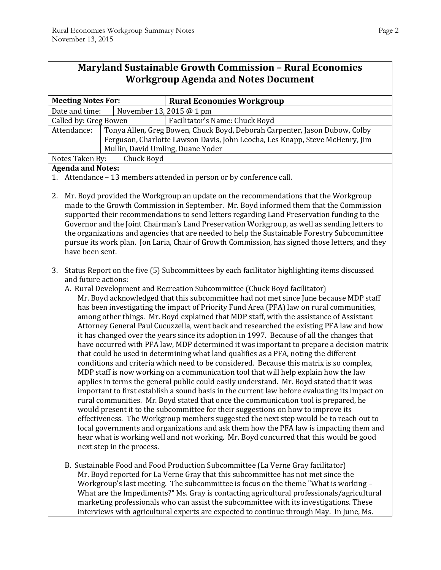Г

| <b>Maryland Sustainable Growth Commission - Rural Economies</b> |                                                                                                                                                                                                                                                                                                                                                                                                                                                                                                                                                                                                                                                                                                                                                                                                                                                                                                                                                                                                                                                                                                                                                                                                                                                                                                                                                                                                                                                                                                                                                                                                                                                                                                                                |                                   |                                                                                                                                                                                                                                                                                                                                                                                                                                                    |  |
|-----------------------------------------------------------------|--------------------------------------------------------------------------------------------------------------------------------------------------------------------------------------------------------------------------------------------------------------------------------------------------------------------------------------------------------------------------------------------------------------------------------------------------------------------------------------------------------------------------------------------------------------------------------------------------------------------------------------------------------------------------------------------------------------------------------------------------------------------------------------------------------------------------------------------------------------------------------------------------------------------------------------------------------------------------------------------------------------------------------------------------------------------------------------------------------------------------------------------------------------------------------------------------------------------------------------------------------------------------------------------------------------------------------------------------------------------------------------------------------------------------------------------------------------------------------------------------------------------------------------------------------------------------------------------------------------------------------------------------------------------------------------------------------------------------------|-----------------------------------|----------------------------------------------------------------------------------------------------------------------------------------------------------------------------------------------------------------------------------------------------------------------------------------------------------------------------------------------------------------------------------------------------------------------------------------------------|--|
| <b>Workgroup Agenda and Notes Document</b>                      |                                                                                                                                                                                                                                                                                                                                                                                                                                                                                                                                                                                                                                                                                                                                                                                                                                                                                                                                                                                                                                                                                                                                                                                                                                                                                                                                                                                                                                                                                                                                                                                                                                                                                                                                |                                   |                                                                                                                                                                                                                                                                                                                                                                                                                                                    |  |
|                                                                 |                                                                                                                                                                                                                                                                                                                                                                                                                                                                                                                                                                                                                                                                                                                                                                                                                                                                                                                                                                                                                                                                                                                                                                                                                                                                                                                                                                                                                                                                                                                                                                                                                                                                                                                                |                                   |                                                                                                                                                                                                                                                                                                                                                                                                                                                    |  |
|                                                                 | <b>Meeting Notes For:</b>                                                                                                                                                                                                                                                                                                                                                                                                                                                                                                                                                                                                                                                                                                                                                                                                                                                                                                                                                                                                                                                                                                                                                                                                                                                                                                                                                                                                                                                                                                                                                                                                                                                                                                      |                                   | <b>Rural Economies Workgroup</b>                                                                                                                                                                                                                                                                                                                                                                                                                   |  |
| Date and time:                                                  |                                                                                                                                                                                                                                                                                                                                                                                                                                                                                                                                                                                                                                                                                                                                                                                                                                                                                                                                                                                                                                                                                                                                                                                                                                                                                                                                                                                                                                                                                                                                                                                                                                                                                                                                | November 13, 2015 @ 1 pm          |                                                                                                                                                                                                                                                                                                                                                                                                                                                    |  |
| Called by: Greg Bowen                                           |                                                                                                                                                                                                                                                                                                                                                                                                                                                                                                                                                                                                                                                                                                                                                                                                                                                                                                                                                                                                                                                                                                                                                                                                                                                                                                                                                                                                                                                                                                                                                                                                                                                                                                                                |                                   | Facilitator's Name: Chuck Boyd                                                                                                                                                                                                                                                                                                                                                                                                                     |  |
|                                                                 | Attendance:                                                                                                                                                                                                                                                                                                                                                                                                                                                                                                                                                                                                                                                                                                                                                                                                                                                                                                                                                                                                                                                                                                                                                                                                                                                                                                                                                                                                                                                                                                                                                                                                                                                                                                                    |                                   | Tonya Allen, Greg Bowen, Chuck Boyd, Deborah Carpenter, Jason Dubow, Colby<br>Ferguson, Charlotte Lawson Davis, John Leocha, Les Knapp, Steve McHenry, Jim                                                                                                                                                                                                                                                                                         |  |
|                                                                 |                                                                                                                                                                                                                                                                                                                                                                                                                                                                                                                                                                                                                                                                                                                                                                                                                                                                                                                                                                                                                                                                                                                                                                                                                                                                                                                                                                                                                                                                                                                                                                                                                                                                                                                                | Mullin, David Umling, Duane Yoder |                                                                                                                                                                                                                                                                                                                                                                                                                                                    |  |
|                                                                 | Notes Taken By:                                                                                                                                                                                                                                                                                                                                                                                                                                                                                                                                                                                                                                                                                                                                                                                                                                                                                                                                                                                                                                                                                                                                                                                                                                                                                                                                                                                                                                                                                                                                                                                                                                                                                                                | Chuck Boyd                        |                                                                                                                                                                                                                                                                                                                                                                                                                                                    |  |
| <b>Agenda and Notes:</b>                                        |                                                                                                                                                                                                                                                                                                                                                                                                                                                                                                                                                                                                                                                                                                                                                                                                                                                                                                                                                                                                                                                                                                                                                                                                                                                                                                                                                                                                                                                                                                                                                                                                                                                                                                                                |                                   |                                                                                                                                                                                                                                                                                                                                                                                                                                                    |  |
|                                                                 |                                                                                                                                                                                                                                                                                                                                                                                                                                                                                                                                                                                                                                                                                                                                                                                                                                                                                                                                                                                                                                                                                                                                                                                                                                                                                                                                                                                                                                                                                                                                                                                                                                                                                                                                |                                   | 1. Attendance - 13 members attended in person or by conference call.                                                                                                                                                                                                                                                                                                                                                                               |  |
| 2.                                                              | Mr. Boyd provided the Workgroup an update on the recommendations that the Workgroup<br>made to the Growth Commission in September. Mr. Boyd informed them that the Commission<br>supported their recommendations to send letters regarding Land Preservation funding to the<br>Governor and the Joint Chairman's Land Preservation Workgroup, as well as sending letters to<br>the organizations and agencies that are needed to help the Sustainable Forestry Subcommittee<br>pursue its work plan. Jon Laria, Chair of Growth Commission, has signed those letters, and they<br>have been sent.                                                                                                                                                                                                                                                                                                                                                                                                                                                                                                                                                                                                                                                                                                                                                                                                                                                                                                                                                                                                                                                                                                                              |                                   |                                                                                                                                                                                                                                                                                                                                                                                                                                                    |  |
| 3.                                                              | Status Report on the five (5) Subcommittees by each facilitator highlighting items discussed<br>and future actions:<br>A. Rural Development and Recreation Subcommittee (Chuck Boyd facilitator)<br>Mr. Boyd acknowledged that this subcommittee had not met since June because MDP staff<br>has been investigating the impact of Priority Fund Area (PFA) law on rural communities,<br>among other things. Mr. Boyd explained that MDP staff, with the assistance of Assistant<br>Attorney General Paul Cucuzzella, went back and researched the existing PFA law and how<br>it has changed over the years since its adoption in 1997. Because of all the changes that<br>have occurred with PFA law, MDP determined it was important to prepare a decision matrix<br>that could be used in determining what land qualifies as a PFA, noting the different<br>conditions and criteria which need to be considered. Because this matrix is so complex,<br>MDP staff is now working on a communication tool that will help explain how the law<br>applies in terms the general public could easily understand. Mr. Boyd stated that it was<br>important to first establish a sound basis in the current law before evaluating its impact on<br>rural communities. Mr. Boyd stated that once the communication tool is prepared, he<br>would present it to the subcommittee for their suggestions on how to improve its<br>effectiveness. The Workgroup members suggested the next step would be to reach out to<br>local governments and organizations and ask them how the PFA law is impacting them and<br>hear what is working well and not working. Mr. Boyd concurred that this would be good<br>next step in the process. |                                   |                                                                                                                                                                                                                                                                                                                                                                                                                                                    |  |
|                                                                 |                                                                                                                                                                                                                                                                                                                                                                                                                                                                                                                                                                                                                                                                                                                                                                                                                                                                                                                                                                                                                                                                                                                                                                                                                                                                                                                                                                                                                                                                                                                                                                                                                                                                                                                                |                                   | B. Sustainable Food and Food Production Subcommittee (La Verne Gray facilitator)<br>Mr. Boyd reported for La Verne Gray that this subcommittee has not met since the<br>Workgroup's last meeting. The subcommittee is focus on the theme "What is working -<br>What are the Impediments?" Ms. Gray is contacting agricultural professionals/agricultural<br>marketing professionals who can assist the subcommittee with its investigations. These |  |

interviews with agricultural experts are expected to continue through May. In June, Ms.